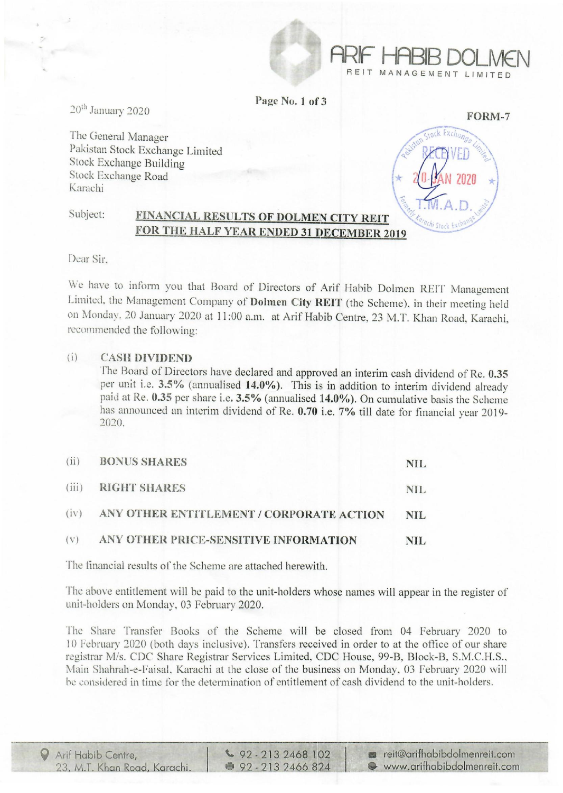

Page No. I of 3

20<sup>th</sup> January 2020

The General Manager Pakistan Stock Exchange Limited Stock Exchange Building Stock Exchange Road Karachi

FORM-7 Exchant  $\left[ \begin{matrix} 2 \\ 2 \end{matrix} \right]$   $\mathsf{T.M.A.D.}$  .

### Subject: FINANCIAL RESULTS OF DOLMEN CITY REIT FOR THE HALF YEAR ENDED 31 DECEMBER 2019

Dear Sir.

We have to inform you that Board of Directors of Arif Habib Dolmen REIT Management Limited, the Management Company of Dolmen City HEIT (the Scheme). in their meeting held on Monday. 20 January 2020 at 11 :00 a.m. at Arif Habib Centre, 23 M.T. Khan Road, Karachi, recommended the following:

## (i) CASH DIVIDEND

The Board of Directors have declared and approved an interim cash dividend of Re. 0.35 per unit i.e. 3.5% (annualised 14.0%). This is in addition to interim dividend already paid at Re. 0.35 per share i.e. 3.5% (annualised 14.0%). On cumulative basis the Scheme has announced an interim dividend of Re. 0.70 i.e. 7% till date for financial year 2019-2020.

| (ii) | <b>BONUS SHARES</b>                           | NIL. |
|------|-----------------------------------------------|------|
|      | (iii) RIGHT SHARES                            | NIL. |
|      | (iv) ANY OTHER ENTITLEMENT / CORPORATE ACTION | NIL. |
|      | (v) ANY OTHER PRICE-SENSITIVE INFORMATION     | NIL. |

The financial results of the Scheme are attached herewith.

The above entitlement will be paid to the unit-holders whose names will appear in the register of unit-holders on Monday. 03 February 2020.

The Share Transfer Books of the Scheme will be closed from 04 February 2020 to 10 February 2020 (both days inclusive). Transfers received in order to at the office of our share registrar M/s. CDC Share Registrar Services Limited, CDC House, 99-B, Block-B, S.M.C.H.S., Main Shahrah-e-Faisal, Karachi at the close of the business on Monday. 03 February 2020 will be considered in time for the determination of entitlement of cash dividend to the unit-holders.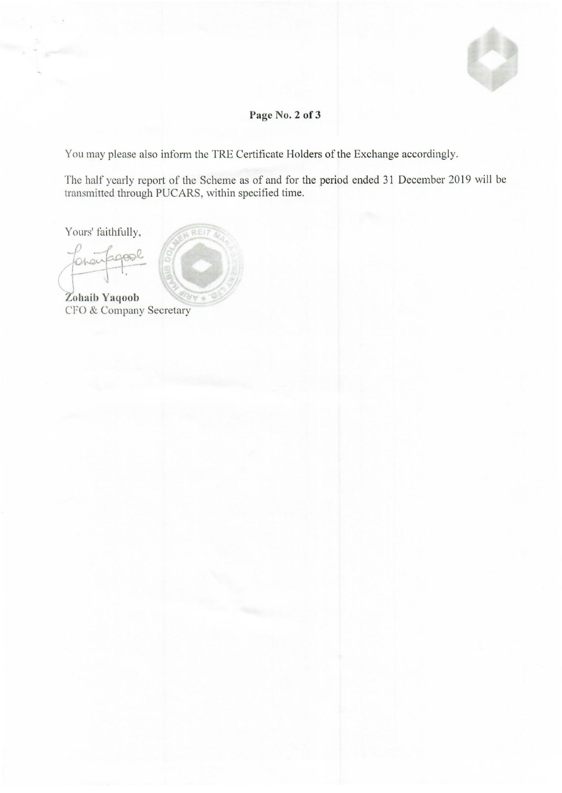# Page No. 2 of 3

You may please also inform the TRE Certificate Holders of the Exchange accordingly.

REI

The half yearly report of the Scheme as of and for the period ended 31 December 2019 will be transmitted through PUCARS, within specified time.

Yours' faithfully,

Zohaib Yaqoob CFO & Company Secretary